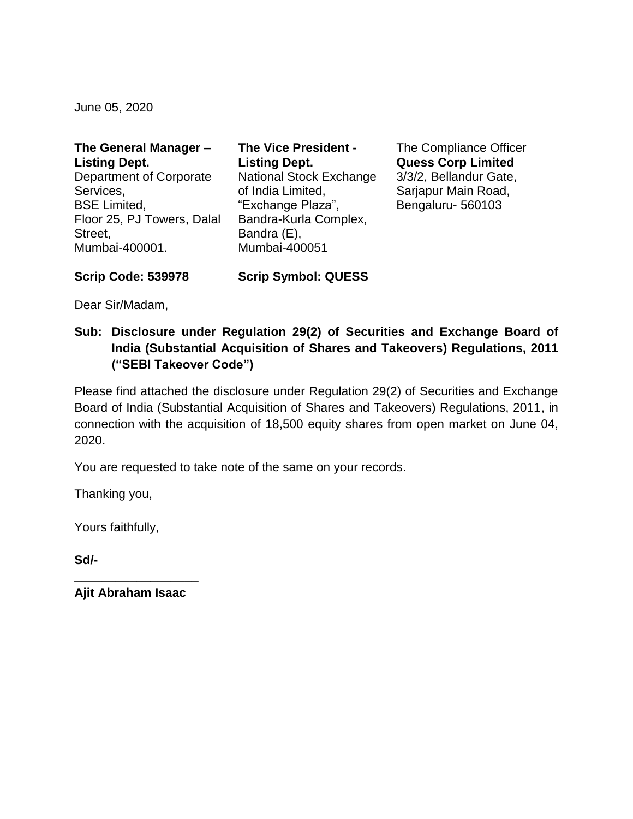June 05, 2020

| The General Manager -      | <b>The Vice President -</b>    |
|----------------------------|--------------------------------|
| <b>Listing Dept.</b>       | <b>Listing Dept.</b>           |
| Department of Corporate    | <b>National Stock Exchange</b> |
| Services,                  | of India Limited,              |
| <b>BSE Limited,</b>        | "Exchange Plaza",              |
| Floor 25, PJ Towers, Dalal | Bandra-Kurla Complex,          |
| Street,                    | Bandra (E),                    |
| Mumbai-400001.             | Mumbai-400051                  |

The Compliance Officer **Quess Corp Limited** 3/3/2, Bellandur Gate, Sarjapur Main Road, Bengaluru- 560103

**Scrip Code: 539978**

Dear Sir/Madam,

**Sub: Disclosure under Regulation 29(2) of Securities and Exchange Board of India (Substantial Acquisition of Shares and Takeovers) Regulations, 2011 ("SEBI Takeover Code")**

**Scrip Symbol: QUESS**

Please find attached the disclosure under Regulation 29(2) of Securities and Exchange Board of India (Substantial Acquisition of Shares and Takeovers) Regulations, 2011, in connection with the acquisition of 18,500 equity shares from open market on June 04, 2020.

You are requested to take note of the same on your records.

Thanking you,

Yours faithfully,

**Sd/-**

**\_\_\_\_\_\_\_\_\_\_\_\_\_\_\_\_\_\_ Ajit Abraham Isaac**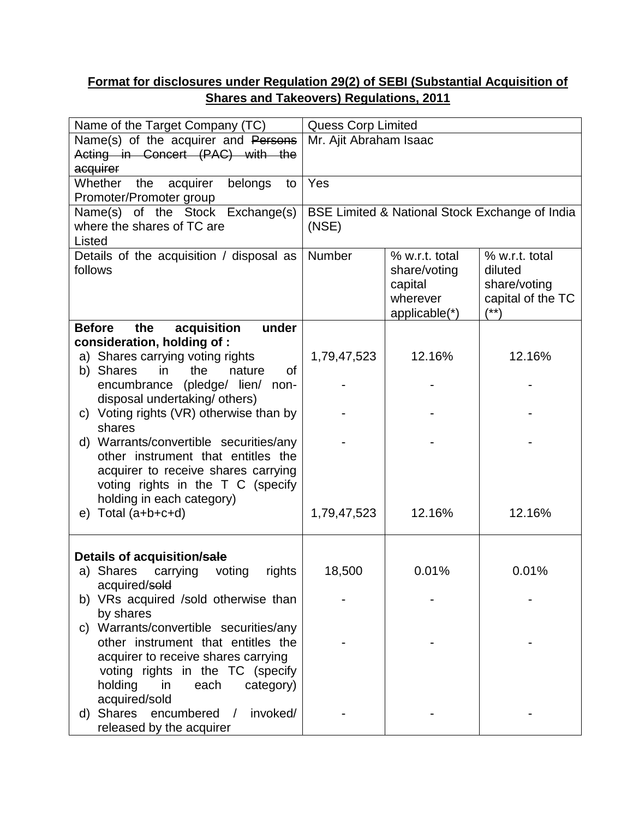## **Format for disclosures under Regulation 29(2) of SEBI (Substantial Acquisition of Shares and Takeovers) Regulations, 2011**

| Name of the Target Company (TC)                      |                                                | <b>Quess Corp Limited</b> |                   |  |
|------------------------------------------------------|------------------------------------------------|---------------------------|-------------------|--|
| Name(s) of the acquirer and Persons                  | Mr. Ajit Abraham Isaac                         |                           |                   |  |
| Acting in Concert (PAC) with the                     |                                                |                           |                   |  |
| acquirer                                             |                                                |                           |                   |  |
| Whether<br>the<br>acquirer<br>belongs<br>to          | Yes                                            |                           |                   |  |
| Promoter/Promoter group                              |                                                |                           |                   |  |
| Name(s) of the Stock Exchange(s)                     | BSE Limited & National Stock Exchange of India |                           |                   |  |
| where the shares of TC are                           | (NSE)                                          |                           |                   |  |
| Listed                                               |                                                |                           |                   |  |
| Details of the acquisition / disposal as             | Number                                         | % w.r.t. total            | % w.r.t. total    |  |
| follows                                              |                                                | share/voting              | diluted           |  |
|                                                      |                                                | capital                   | share/voting      |  |
|                                                      |                                                | wherever                  | capital of the TC |  |
|                                                      |                                                | applicable(*)             | $(***)$           |  |
| acquisition<br>under<br><b>Before</b><br>the         |                                                |                           |                   |  |
| consideration, holding of:                           |                                                |                           |                   |  |
| a) Shares carrying voting rights                     | 1,79,47,523                                    | 12.16%                    | 12.16%            |  |
| of<br>b) Shares<br>the<br>nature<br>in.              |                                                |                           |                   |  |
| encumbrance (pledge/ lien/ non-                      |                                                |                           |                   |  |
| disposal undertaking/ others)                        |                                                |                           |                   |  |
| c) Voting rights (VR) otherwise than by<br>shares    |                                                |                           |                   |  |
| d) Warrants/convertible securities/any               |                                                |                           |                   |  |
| other instrument that entitles the                   |                                                |                           |                   |  |
| acquirer to receive shares carrying                  |                                                |                           |                   |  |
| voting rights in the T C (specify                    |                                                |                           |                   |  |
| holding in each category)                            |                                                |                           |                   |  |
| Total (a+b+c+d)<br>e)                                | 1,79,47,523                                    | 12.16%                    | 12.16%            |  |
|                                                      |                                                |                           |                   |  |
|                                                      |                                                |                           |                   |  |
| Details of acquisition/sale                          |                                                |                           |                   |  |
| a) Shares<br>carrying<br>voting<br>rights            | 18,500                                         | 0.01%                     | 0.01%             |  |
| acquired/sold                                        |                                                |                           |                   |  |
| b) VRs acquired /sold otherwise than                 |                                                |                           |                   |  |
| by shares                                            |                                                |                           |                   |  |
| Warrants/convertible securities/any<br>C)            |                                                |                           |                   |  |
| other instrument that entitles the                   |                                                |                           |                   |  |
| acquirer to receive shares carrying                  |                                                |                           |                   |  |
| voting rights in the TC (specify                     |                                                |                           |                   |  |
| holding<br>in<br>each<br>category)                   |                                                |                           |                   |  |
| acquired/sold                                        |                                                |                           |                   |  |
| Shares<br>encumbered<br>invoked/<br>$\sqrt{2}$<br>d) |                                                |                           |                   |  |
| released by the acquirer                             |                                                |                           |                   |  |